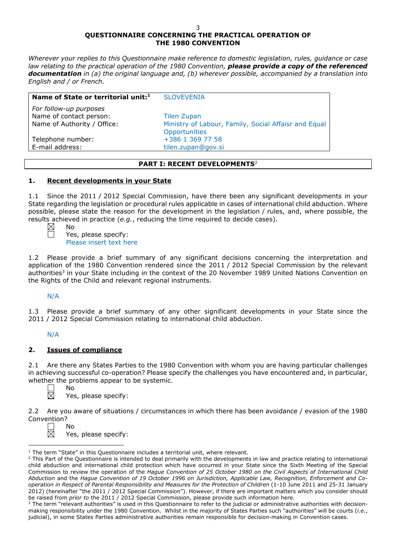# **QUESTIONNAIRE CONCERNING THE PRACTICAL OPERATION OF THE 1980 CONVENTION**

*Wherever your replies to this Questionnaire make reference to domestic legislation, rules, guidance or case law relating to the practical operation of the 1980 Convention, please provide a copy of the referenced documentation in (a) the original language and, (b) wherever possible, accompanied by a translation into English and / or French.* 

| Name of State or territorial unit: <sup>1</sup>   | <b>SLOVEVENIA</b>                                                     |
|---------------------------------------------------|-----------------------------------------------------------------------|
| For follow-up purposes<br>Name of contact person: | <b>Tilen Zupan</b>                                                    |
| Name of Authority / Office:                       | Ministry of Labour, Family, Social Affaisr and Equal<br>Opportunities |
| Telephone number:                                 | +386 1 369 77 58                                                      |
| E-mail address:                                   | tilen.zupan@gov.si                                                    |

# **PART I: RECENT DEVELOPMENTS**<sup>2</sup>

# **1. Recent developments in your State**

1.1 Since the 2011 / 2012 Special Commission, have there been any significant developments in your State regarding the legislation or procedural rules applicable in cases of international child abduction. Where possible, please state the reason for the development in the legislation / rules, and, where possible, the results achieved in practice (*e.g.*, reducing the time required to decide cases).

No

Yes, please specify: Please insert text here

1.2 Please provide a brief summary of any significant decisions concerning the interpretation and application of the 1980 Convention rendered since the 2011 / 2012 Special Commission by the relevant authorities<sup>3</sup> in your State including in the context of the 20 November 1989 United Nations Convention on the Rights of the Child and relevant regional instruments.

N/A

1.3 Please provide a brief summary of any other significant developments in your State since the 2011 / 2012 Special Commission relating to international child abduction.

# N/A

# **2. Issues of compliance**

No

2.1 Are there any States Parties to the 1980 Convention with whom you are having particular challenges in achieving successful co-operation? Please specify the challenges you have encountered and, in particular, whether the problems appear to be systemic.

 $\Box$  $\boxtimes$  Yes, please specify:

2.2 Are you aware of situations / circumstances in which there has been avoidance / evasion of the 1980 Convention?

No Yes, please specify:

 $\overline{a}$  $1$  The term "State" in this Questionnaire includes a territorial unit, where relevant.

<sup>&</sup>lt;sup>2</sup> This Part of the Questionnaire is intended to deal primarily with the developments in law and practice relating to international child abduction and international child protection which have occurred in your State since the Sixth Meeting of the Special Commission to review the operation of the *Hague Convention of 25 October 1980 on the Civil Aspects of International Child Abduction* and the *Hague Convention of 19 October 1996 on Jurisdiction, Applicable Law, Recognition, Enforcement and Cooperation in Respect of Parental Responsibility and Measures for the Protection of Children* (1-10 June 2011 and 25-31 January 2012) (hereinafter "the 2011 / 2012 Special Commission"). However, if there are important matters which you consider should be raised from *prior to* the 2011 / 2012 Special Commission, please provide such information here.

<sup>&</sup>lt;sup>3</sup> The term "relevant authorities" is used in this Questionnaire to refer to the judicial or administrative authorities with decisionmaking responsibility under the 1980 Convention. Whilst in the majority of States Parties such "authorities" will be courts (*i.e.*, judicial), in some States Parties administrative authorities remain responsible for decision-making in Convention cases.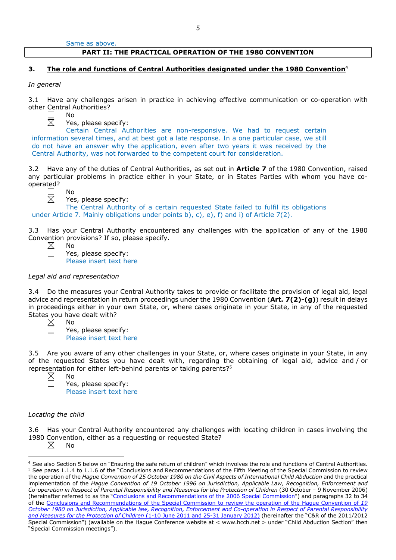Same as above.

### **PART II: THE PRACTICAL OPERATION OF THE 1980 CONVENTION**

# **3. The role and functions of Central Authorities designated under the 1980 Convention**<sup>4</sup>

*In general*

3.1 Have any challenges arisen in practice in achieving effective communication or co-operation with other Central Authorities?



No

No

Yes, please specify:

Certain Central Authorities are non-responsive. We had to request certain information several times, and at best got a late response. In a one particular case, we still do not have an answer why the application, even after two years it was received by the Central Authority, was not forwarded to the competent court for consideration.

3.2 Have any of the duties of Central Authorities, as set out in **Article 7** of the 1980 Convention, raised any particular problems in practice either in your State, or in States Parties with whom you have cooperated?

Yes, please specify:

The Central Authority of a certain requested State failed to fulfil its obligations under Article 7. Mainly obligations under points b), c), e), f) and i) of Article  $7(2)$ .

3.3 Has your Central Authority encountered any challenges with the application of any of the 1980 Convention provisions? If so, please specify.

Yes, please specify: Please insert text here

#### *Legal aid and representation*

No

3.4 Do the measures your Central Authority takes to provide or facilitate the provision of legal aid, legal advice and representation in return proceedings under the 1980 Convention (**Art. 7(2)-(g)**) result in delays in proceedings either in your own State, or, where cases originate in your State, in any of the requested States you have dealt with?

No Yes, please specify: Please insert text here

3.5 Are you aware of any other challenges in your State, or, where cases originate in your State, in any of the requested States you have dealt with, regarding the obtaining of legal aid, advice and / or representation for either left-behind parents or taking parents?5 No

Yes, please specify: Please insert text here

#### *Locating the child*

3.6 Has your Central Authority encountered any challenges with locating children in cases involving the 1980 Convention, either as a requesting or requested State?

⊠ No

<sup>4</sup> See also Section 5 below on "Ensuring the safe return of children" which involves the role and functions of Central Authorities. <sup>5</sup> See paras 1.1.4 to 1.1.6 of the "Conclusions and Recommendations of the Fifth Meeting of the Special Commission to review the operation of the *Hague Convention of 25 October 1980 on the Civil Aspects of International Child Abduction* and the practical implementation of the *Hague Convention of 19 October 1996 on Jurisdiction, Applicable Law, Recognition, Enforcement and Co-operation in Respect of Parental Responsibility and Measures for the Protection of Children* (30 October – 9 November 2006) (hereinafter referred to as the ["Conclusions and Recommendations of the 2006 Special Commission"](https://assets.hcch.net/upload/concl28sc5_e.pdf)) and paragraphs 32 to 34 of the [Conclusions and Recommendations of the Special Commission](https://assets.hcch.net/upload/wop/concl28sc6_e.pdf) to review the operation of the Hague Convention of *19 October 1980 on Jurisdiction, Applicable law, [Recognition, Enforcement and Co-operation in Respect of Parental Responsibility](https://assets.hcch.net/upload/wop/concl28sc6_e.pdf)  [and Measures for the Protection of Children](https://assets.hcch.net/upload/wop/concl28sc6_e.pdf)* (1-10 June 2011 and 25-31 January 2012) (hereinafter the "C&R of the 2011/2012 Special Commission") (available on the Hague Conference website at < www.hcch.net > under "Child Abduction Section" then "Special Commission meetings").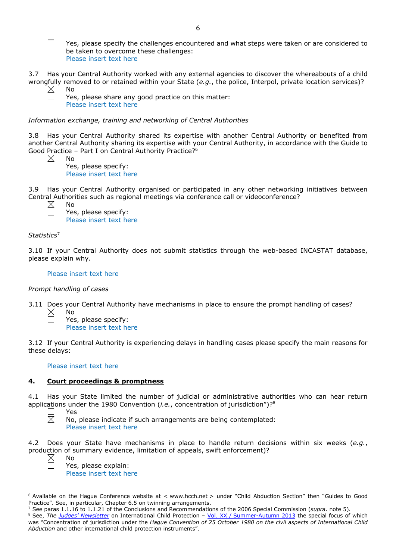$\Box$ Yes, please specify the challenges encountered and what steps were taken or are considered to be taken to overcome these challenges: Please insert text here

3.7 Has your Central Authority worked with any external agencies to discover the whereabouts of a child wrongfully removed to or retained within your State (*e.g.*, the police, Interpol, private location services)?  $\boxtimes$ No

| Yes, please share any good practice on this matter: |  |  |
|-----------------------------------------------------|--|--|
| Please insert text here                             |  |  |

*Information exchange, training and networking of Central Authorities*

3.8 Has your Central Authority shared its expertise with another Central Authority or benefited from another Central Authority sharing its expertise with your Central Authority, in accordance with the Guide to Good Practice – Part I on Central Authority Practice?6

No Yes, please specify: Please insert text here

3.9 Has your Central Authority organised or participated in any other networking initiatives between Central Authorities such as regional meetings via conference call or videoconference?

No Yes, please specify: Please insert text here

# *Statistics*<sup>7</sup>

3.10 If your Central Authority does not submit statistics through the web-based INCASTAT database, please explain why.

# Please insert text here

# *Prompt handling of cases*

No

3.11 Does your Central Authority have mechanisms in place to ensure the prompt handling of cases?

Yes, please specify: Please insert text here

3.12 If your Central Authority is experiencing delays in handling cases please specify the main reasons for these delays:

# Please insert text here

# **4. Court proceedings & promptness**

4.1 Has your State limited the number of judicial or administrative authorities who can hear return applications under the 1980 Convention (*i.e.*, concentration of jurisdiction")?8

 $\vert$   $\vert$ Yes 岗 No, please indicate if such arrangements are being contemplated: Please insert text here

4.2 Does your State have mechanisms in place to handle return decisions within six weeks (*e.g.*, production of summary evidence, limitation of appeals, swift enforcement)?

 $\overline{a}$ 

No

Yes, please explain: Please insert text here

<sup>6</sup> Available on the Hague Conference website at < www.hcch.net > under "Child Abduction Section" then "Guides to Good Practice". See, in particular, Chapter 6.5 on twinning arrangements.

<sup>7</sup> See paras 1.1.16 to 1.1.21 of the Conclusions and Recommendations of the 2006 Special Commission (*supra.* note 5). 8 See, *The [Judges' Newsletter](https://www.hcch.net/en/instruments/conventions/publications2/judges-newsletter)* on International Child Protection - Vol. XX / [Summer-Autumn 2013](https://assets.hcch.net/upload/newsletter/nl2013tome20en.pdf) the special focus of which was "Concentration of jurisdiction under the *Hague Convention of 25 October 1980 on the civil aspects of International Child Abduction* and other international child protection instruments".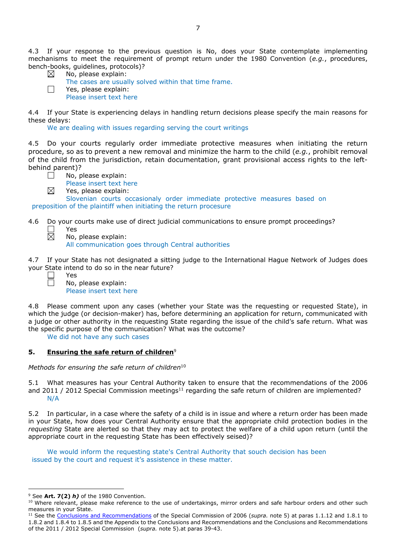4.3 If your response to the previous question is No, does your State contemplate implementing mechanisms to meet the requirement of prompt return under the 1980 Convention (*e.g.*, procedures, bench-books, guidelines, protocols)?

|             | . . |                     |  |
|-------------|-----|---------------------|--|
| $\boxtimes$ |     |                     |  |
|             |     | No, please explain: |  |
|             |     |                     |  |

 $\Box$ 

The cases are usually solved within that time frame. Yes, please explain: Please insert text here

4.4 If your State is experiencing delays in handling return decisions please specify the main reasons for these delays:

We are dealing with issues regarding serving the court writings

4.5 Do your courts regularly order immediate protective measures when initiating the return procedure, so as to prevent a new removal and minimize the harm to the child (*e.g.*, prohibit removal of the child from the jurisdiction, retain documentation, grant provisional access rights to the leftbehind parent)?



- Please insert text here
- ⊠ Yes, please explain:

Slovenian courts occasionaly order immediate protective measures based on preposition of the plaintiff when initiating the return procesure

- 4.6 Do your courts make use of direct judicial communications to ensure prompt proceedings?  $\Box$ Yes
	- $\boxtimes$ No, please explain:

Yes

All communication goes through Central authorities

4.7 If your State has not designated a sitting judge to the International Hague Network of Judges does your State intend to do so in the near future?

No, please explain: Please insert text here

4.8 Please comment upon any cases (whether your State was the requesting or requested State), in which the judge (or decision-maker) has, before determining an application for return, communicated with a judge or other authority in the requesting State regarding the issue of the child's safe return. What was the specific purpose of the communication? What was the outcome?

We did not have any such cases

# **5. Ensuring the safe return of children**<sup>9</sup>

*Methods for ensuring the safe return of children*<sup>10</sup>

5.1 What measures has your Central Authority taken to ensure that the recommendations of the 2006 and 2011 / 2012 Special Commission meetings<sup>11</sup> regarding the safe return of children are implemented? N/A

5.2 In particular, in a case where the safety of a child is in issue and where a return order has been made in your State, how does your Central Authority ensure that the appropriate child protection bodies in the *requesting* State are alerted so that they may act to protect the welfare of a child upon return (until the appropriate court in the requesting State has been effectively seised)?

We would inform the requesting state's Central Authority that souch decision has been issued by the court and request it's assistence in these matter.

<sup>9</sup> See **Art. 7(2)** *h)* of the 1980 Convention.

<sup>&</sup>lt;sup>10</sup> Where relevant, please make reference to the use of undertakings, mirror orders and safe harbour orders and other such measures in your State.

<sup>11</sup> See the [Conclusions and Recommendations](https://assets.hcch.net/upload/concl28sc5_e.pdf) of the Special Commission of 2006 (*supra.* note 5) at paras 1.1.12 and 1.8.1 to 1.8.2 and 1.8.4 to 1.8.5 and the Appendix to the Conclusions and Recommendations and the [Conclusions and Recommendations](https://assets.hcch.net/upload/wop/concl28sc6_e.pdf)  of the 2011 / [2012 Special Commission](https://assets.hcch.net/upload/wop/concl28sc6_e.pdf) (*supra.* note 5).at paras 39-43.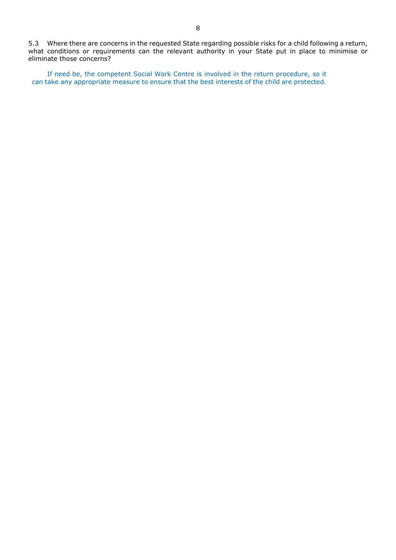5.3 Where there are concerns in the requested State regarding possible risks for a child following a return, what conditions or requirements can the relevant authority in your State put in place to minimise or eliminate those concerns?

If need be, the competent Social Work Centre is involved in the return procedure, so it can take any appropriate measure to ensure that the best interests of the child are protected.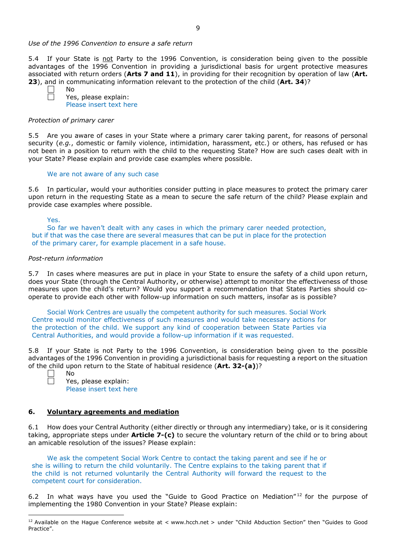#### *Use of the 1996 Convention to ensure a safe return*

5.4 If your State is not Party to the 1996 Convention, is consideration being given to the possible advantages of the 1996 Convention in providing a jurisdictional basis for urgent protective measures associated with return orders (**Arts 7 and 11**), in providing for their recognition by operation of law (**Art. 23**), and in communicating information relevant to the protection of the child (**Art. 34**)?

No Yes, please explain: Please insert text here

#### *Protection of primary carer*

5.5 Are you aware of cases in your State where a primary carer taking parent, for reasons of personal security (*e.g.*, domestic or family violence, intimidation, harassment, etc.) or others, has refused or has not been in a position to return with the child to the requesting State? How are such cases dealt with in your State? Please explain and provide case examples where possible.

#### We are not aware of any such case

5.6 In particular, would your authorities consider putting in place measures to protect the primary carer upon return in the requesting State as a mean to secure the safe return of the child? Please explain and provide case examples where possible.

Yes.

So far we haven't dealt with any cases in which the primary carer needed protection, but if that was the case there are several measures that can be put in place for the protection of the primary carer, for example placement in a safe house.

### *Post-return information*

5.7 In cases where measures are put in place in your State to ensure the safety of a child upon return, does your State (through the Central Authority, or otherwise) attempt to monitor the effectiveness of those measures upon the child's return? Would you support a recommendation that States Parties should cooperate to provide each other with follow-up information on such matters, insofar as is possible?

Social Work Centres are usually the competent authority for such measures. Social Work Centre would monitor effectiveness of such measures and would take necessary actions for the protection of the child. We support any kind of cooperation between State Parties via Central Authorities, and would provide a follow-up information if it was requested.

5.8 If your State is not Party to the 1996 Convention, is consideration being given to the possible advantages of the 1996 Convention in providing a jurisdictional basis for requesting a report on the situation of the child upon return to the State of habitual residence (**Art. 32-(a)**)?

 $\overline{a}$ 

No Yes, please explain: Please insert text here

#### **6. Voluntary agreements and mediation**

6.1 How does your Central Authority (either directly or through any intermediary) take, or is it considering taking, appropriate steps under **Article 7-(c)** to secure the voluntary return of the child or to bring about an amicable resolution of the issues? Please explain:

We ask the competent Social Work Centre to contact the taking parent and see if he or she is willing to return the child voluntarily. The Centre explains to the taking parent that if the child is not returned voluntarily the Central Authority will forward the request to the competent court for consideration.

6.2 In what ways have you used the "Guide to Good Practice on Mediation" $^{12}$  for the purpose of implementing the 1980 Convention in your State? Please explain:

 $12$  Available on the Hague Conference website at < www.hcch.net > under "Child Abduction Section" then "Guides to Good Practice".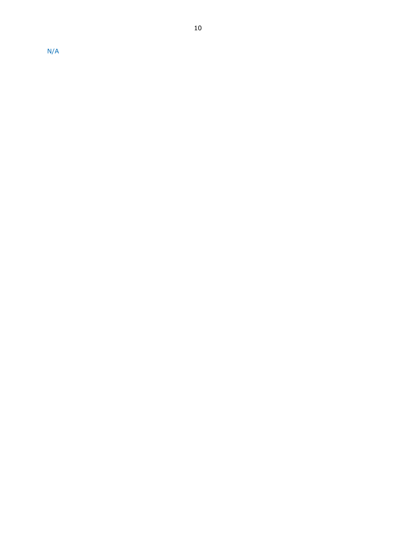N/A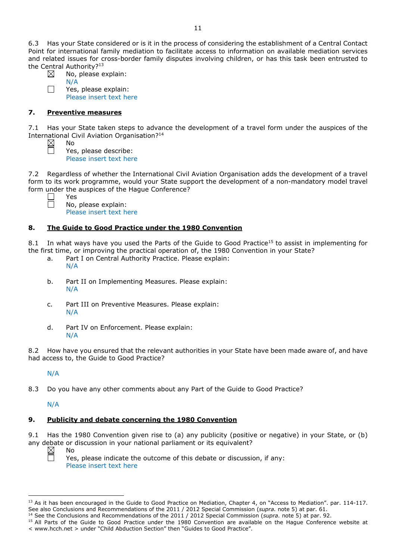6.3 Has your State considered or is it in the process of considering the establishment of a Central Contact Point for international family mediation to facilitate access to information on available mediation services and related issues for cross-border family disputes involving children, or has this task been entrusted to the Central Authority?<sup>13</sup>

| $\boxtimes$ |             | No, please explain: |
|-------------|-------------|---------------------|
|             | <b>NI/A</b> |                     |

 $\mathbf{1}$ 

N/A

Yes, please explain: Please insert text here

# **7. Preventive measures**

No

7.1 Has your State taken steps to advance the development of a travel form under the auspices of the International Civil Aviation Organisation?14

Yes, please describe: Please insert text here

7.2 Regardless of whether the International Civil Aviation Organisation adds the development of a travel form to its work programme, would your State support the development of a non-mandatory model travel form under the auspices of the Hague Conference?

Yes No, please explain: Please insert text here

# **8. The Guide to Good Practice under the 1980 Convention**

8.1 In what ways have you used the Parts of the Guide to Good Practice<sup>15</sup> to assist in implementing for the first time, or improving the practical operation of, the 1980 Convention in your State?

- a. Part I on Central Authority Practice. Please explain: N/A
- b. Part II on Implementing Measures. Please explain: N/A
- c. Part III on Preventive Measures. Please explain: N/A
- d. Part IV on Enforcement. Please explain: N/A

8.2 How have you ensured that the relevant authorities in your State have been made aware of, and have had access to, the Guide to Good Practice?

# N/A

8.3 Do you have any other comments about any Part of the Guide to Good Practice?

# N/A

# **9. Publicity and debate concerning the 1980 Convention**

9.1 Has the 1980 Convention given rise to (a) any publicity (positive or negative) in your State, or (b) any debate or discussion in your national parliament or its equivalent? No

 $\boxtimes$  $\Box$ 

 $\overline{a}$ 

Yes, please indicate the outcome of this debate or discussion, if any: Please insert text here

<sup>&</sup>lt;sup>13</sup> As it has been encouraged in the Guide to Good Practice on Mediation, Chapter 4, on "Access to Mediation". par. 114-117. See also [Conclusions and Recommendations of the 2011](https://assets.hcch.net/upload/wop/concl28sc6_e.pdf) / 2012 Special Commission (*supra.* note 5) at par. 61.

<sup>14</sup> See the [Conclusions and Recommendations of the 2011](https://assets.hcch.net/upload/wop/concl28sc6_e.pdf) / 2012 Special Commission (*supra.* note 5) at par. 92.

<sup>&</sup>lt;sup>15</sup> All Parts of the Guide to Good Practice under the 1980 Convention are available on the Hague Conference website at < www.hcch.net > under "Child Abduction Section" then "Guides to Good Practice".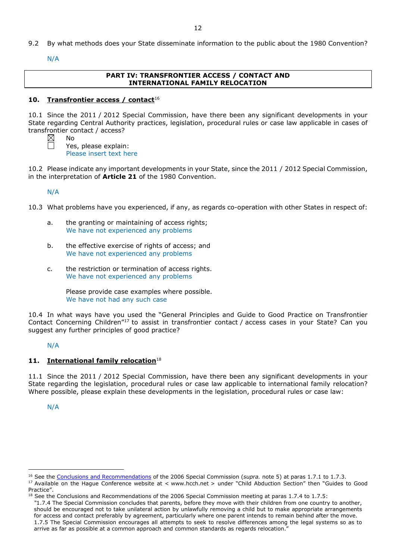9.2 By what methods does your State disseminate information to the public about the 1980 Convention?

N/A

# **PART IV: TRANSFRONTIER ACCESS / CONTACT AND INTERNATIONAL FAMILY RELOCATION**

### **10. Transfrontier access / contact**<sup>16</sup>

10.1 Since the 2011 / 2012 Special Commission, have there been any significant developments in your State regarding Central Authority practices, legislation, procedural rules or case law applicable in cases of transfrontier contact / access?

No

Yes, please explain: Please insert text here

10.2 Please indicate any important developments in your State, since the 2011 / 2012 Special Commission, in the interpretation of **Article 21** of the 1980 Convention.

N/A

10.3 What problems have you experienced, if any, as regards co-operation with other States in respect of:

- a. the granting or maintaining of access rights; We have not experienced any problems
- b. the effective exercise of rights of access; and We have not experienced any problems
- c. the restriction or termination of access rights. We have not experienced any problems

Please provide case examples where possible. We have not had any such case

10.4 In what ways have you used the "General Principles and Guide to Good Practice on Transfrontier Contact Concerning Children"17 to assist in transfrontier contact / access cases in your State? Can you suggest any further principles of good practice?

# N/A

# **11. International family relocation**<sup>18</sup>

11.1 Since the 2011 / 2012 Special Commission, have there been any significant developments in your State regarding the legislation, procedural rules or case law applicable to international family relocation? Where possible, please explain these developments in the legislation, procedural rules or case law:

N/A

<sup>&</sup>lt;sup>16</sup> See the [Conclusions and Recommendations](https://assets.hcch.net/upload/concl28sc5_e.pdf) of the 2006 Special Commission (*supra*. note 5) at paras 1.7.1 to 1.7.3.

<sup>&</sup>lt;sup>17</sup> Available on the Haque Conference website at < www.hcch.net > under "Child Abduction Section" then "Guides to Good Practice".

 $18$  See the Conclusions and Recommendations of the 2006 Special Commission meeting at paras 1.7.4 to 1.7.5:

*<sup>&</sup>quot;*1.7.4 The Special Commission concludes that parents, before they move with their children from one country to another, should be encouraged not to take unilateral action by unlawfully removing a child but to make appropriate arrangements for access and contact preferably by agreement, particularly where one parent intends to remain behind after the move. 1.7.5 The Special Commission encourages all attempts to seek to resolve differences among the legal systems so as to arrive as far as possible at a common approach and common standards as regards relocation."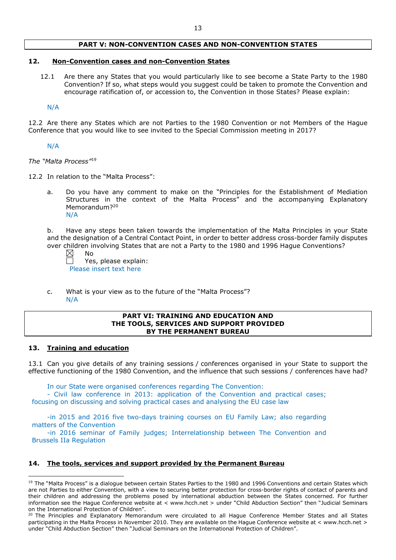### **PART V: NON-CONVENTION CASES AND NON-CONVENTION STATES**

### **12. Non-Convention cases and non-Convention States**

12.1 Are there any States that you would particularly like to see become a State Party to the 1980 Convention? If so, what steps would you suggest could be taken to promote the Convention and encourage ratification of, or accession to, the Convention in those States? Please explain:

N/A

12.2 Are there any States which are not Parties to the 1980 Convention or not Members of the Hague Conference that you would like to see invited to the Special Commission meeting in 2017?

#### N/A

*The "Malta Process"*<sup>19</sup>

- 12.2 In relation to the "Malta Process":
	- a. Do you have any comment to make on the "Principles for the Establishment of Mediation Structures in the context of the Malta Process" and the accompanying Explanatory Memorandum?<sup>20</sup> N/A

b. Have any steps been taken towards the implementation of the Malta Principles in your State and the designation of a Central Contact Point, in order to better address cross-border family disputes over children involving States that are not a Party to the 1980 and 1996 Hague Conventions?

⊠ No

> Yes, please explain: Please insert text here

c. What is your view as to the future of the "Malta Process"? N/A

#### **PART VI: TRAINING AND EDUCATION AND THE TOOLS, SERVICES AND SUPPORT PROVIDED BY THE PERMANENT BUREAU**

### **13. Training and education**

 $\overline{a}$ 

13.1 Can you give details of any training sessions / conferences organised in your State to support the effective functioning of the 1980 Convention, and the influence that such sessions / conferences have had?

In our State were organised conferences regarding The Convention:

- Civil law conference in 2013: application of the Convention and practical cases; focusing on discussing and solving practical cases and analysing the EU case law

-in 2015 and 2016 five two-days training courses on EU Family Law; also regarding matters of the Convention

-in 2016 seminar of Family judges; Interrelationship between The Convention and Brussels IIa Regulation

### **14. The tools, services and support provided by the Permanent Bureau**

<sup>&</sup>lt;sup>19</sup> The "Malta Process" is a dialogue between certain States Parties to the 1980 and 1996 Conventions and certain States which are not Parties to either Convention, with a view to securing better protection for cross-border rights of contact of parents and their children and addressing the problems posed by international abduction between the States concerned. For further information see the Hague Conference website at < www.hcch.net > under "Child Abduction Section" then "Judicial Seminars on the International Protection of Children".

<sup>&</sup>lt;sup>20</sup> The Principles and Explanatory Memorandum were circulated to all Hague Conference Member States and all States participating in the Malta Process in November 2010. They are available on the Hague Conference website at < www.hcch.net > under "Child Abduction Section" then "Judicial Seminars on the International Protection of Children".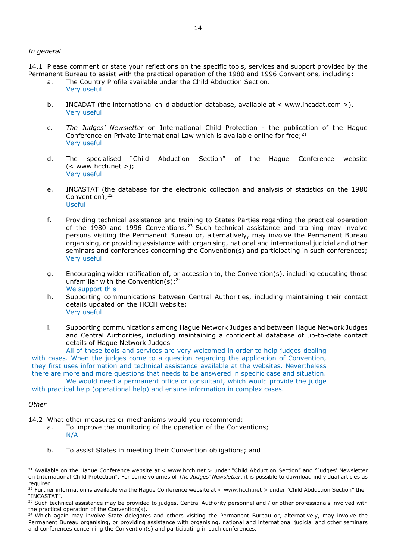#### *In general*

14.1 Please comment or state your reflections on the specific tools, services and support provided by the Permanent Bureau to assist with the practical operation of the 1980 and 1996 Conventions, including:

- a. The Country Profile available under the Child Abduction Section. Very useful
- b. INCADAT (the international child abduction database, available at < www.incadat.com >). Very useful
- c. *The Judges' Newsletter* on International Child Protection the publication of the Hague Conference on Private International Law which is available online for free; $^{21}$ Very useful
- d. The specialised "Child Abduction Section" of the Hague Conference website  $(<$  www.hcch.net >); Very useful
- e. INCASTAT (the database for the electronic collection and analysis of statistics on the 1980 Convention);<sup>22</sup> Useful
- f. Providing technical assistance and training to States Parties regarding the practical operation of the 1980 and 1996 Conventions.<sup>23</sup> Such technical assistance and training may involve persons visiting the Permanent Bureau or, alternatively, may involve the Permanent Bureau organising, or providing assistance with organising, national and international judicial and other seminars and conferences concerning the Convention(s) and participating in such conferences; Very useful
- g. Encouraging wider ratification of, or accession to, the Convention(s), including educating those unfamiliar with the Convention(s);  $24$ We support this
- h. Supporting communications between Central Authorities, including maintaining their contact details updated on the HCCH website; Very useful
- i. Supporting communications among Hague Network Judges and between Hague Network Judges and Central Authorities, including maintaining a confidential database of up-to-date contact details of Hague Network Judges

All of these tools and services are very welcomed in order to help judges dealing with cases. When the judges come to a question regarding the application of Convention, they first uses information and technical assistance available at the websites. Nevertheless there are more and more questions that needs to be answered in specific case and situation.

We would need a permanent office or consultant, which would provide the judge

with practical help (operational help) and ensure information in complex cases.

*Other*

- 14.2 What other measures or mechanisms would you recommend:
	- a. To improve the monitoring of the operation of the Conventions; N/A
	- b. To assist States in meeting their Convention obligations; and

<sup>&</sup>lt;sup>21</sup> Available on the Hague Conference website at < www.hcch.net > under "Child Abduction Section" and "Judges' Newsletter on International Child Protection". For some volumes of *The Judges' Newsletter*, it is possible to download individual articles as required.

<sup>&</sup>lt;sup>22</sup> Further information is available via the Hague Conference website at < www.hcch.net > under "Child Abduction Section" then "INCASTAT".

<sup>&</sup>lt;sup>23</sup> Such technical assistance may be provided to judges, Central Authority personnel and / or other professionals involved with the practical operation of the Convention(s).

 $24$  Which again may involve State delegates and others visiting the Permanent Bureau or, alternatively, may involve the Permanent Bureau organising, or providing assistance with organising, national and international judicial and other seminars and conferences concerning the Convention(s) and participating in such conferences.